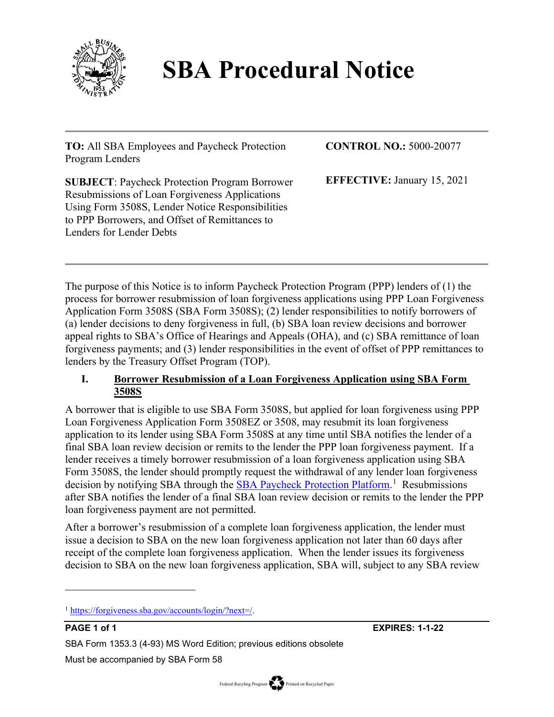

# **SBA Procedural Notice**

**TO:** All SBA Employees and Paycheck Protection Program Lenders

**CONTROL NO.:** 5000-20077

**EFFECTIVE:** January 15, 2021

**SUBJECT**: Paycheck Protection Program Borrower Resubmissions of Loan Forgiveness Applications Using Form 3508S, Lender Notice Responsibilities to PPP Borrowers, and Offset of Remittances to Lenders for Lender Debts

The purpose of this Notice is to inform Paycheck Protection Program (PPP) lenders of (1) the process for borrower resubmission of loan forgiveness applications using PPP Loan Forgiveness Application Form 3508S (SBA Form 3508S); (2) lender responsibilities to notify borrowers of (a) lender decisions to deny forgiveness in full, (b) SBA loan review decisions and borrower appeal rights to SBA's Office of Hearings and Appeals (OHA), and (c) SBA remittance of loan forgiveness payments; and (3) lender responsibilities in the event of offset of PPP remittances to lenders by the Treasury Offset Program (TOP).

# **I. Borrower Resubmission of a Loan Forgiveness Application using SBA Form 3508S**

A borrower that is eligible to use SBA Form 3508S, but applied for loan forgiveness using PPP Loan Forgiveness Application Form 3508EZ or 3508, may resubmit its loan forgiveness application to its lender using SBA Form 3508S at any time until SBA notifies the lender of a final SBA loan review decision or remits to the lender the PPP loan forgiveness payment. If a lender receives a timely borrower resubmission of a loan forgiveness application using SBA Form 3508S, the lender should promptly request the withdrawal of any lender loan forgiveness decision by notifying SBA through the **SBA Paycheck Protection Platform**.<sup>1</sup> Resubmissions after SBA notifies the lender of a final SBA loan review decision or remits to the lender the PPP loan forgiveness payment are not permitted.

After a borrower's resubmission of a complete loan forgiveness application, the lender must issue a decision to SBA on the new loan forgiveness application not later than 60 days after receipt of the complete loan forgiveness application. When the lender issues its forgiveness decision to SBA on the new loan forgiveness application, SBA will, subject to any SBA review

**PAGE 1 of 1 EXPIRES: 1-1-22**

SBA Form 1353.3 (4-93) MS Word Edition; previous editions obsolete

Must be accompanied by SBA Form 58

<sup>1</sup> https://forgiveness.sba.gov/accounts/login/?next=/.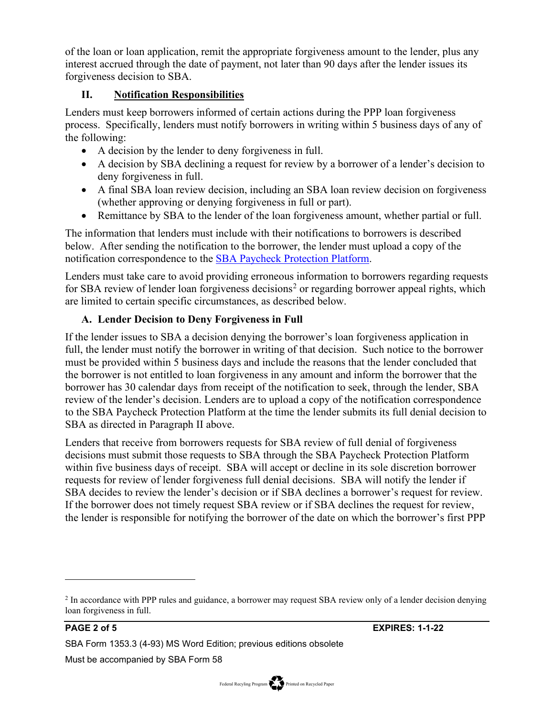of the loan or loan application, remit the appropriate forgiveness amount to the lender, plus any interest accrued through the date of payment, not later than 90 days after the lender issues its forgiveness decision to SBA.

### **II. Notification Responsibilities**

Lenders must keep borrowers informed of certain actions during the PPP loan forgiveness process. Specifically, lenders must notify borrowers in writing within 5 business days of any of the following:

- A decision by the lender to deny forgiveness in full.
- A decision by SBA declining a request for review by a borrower of a lender's decision to deny forgiveness in full.
- A final SBA loan review decision, including an SBA loan review decision on forgiveness (whether approving or denying forgiveness in full or part).
- Remittance by SBA to the lender of the loan forgiveness amount, whether partial or full.

The information that lenders must include with their notifications to borrowers is described below. After sending the notification to the borrower, the lender must upload a copy of the notification correspondence to the SBA Paycheck Protection Platform.

Lenders must take care to avoid providing erroneous information to borrowers regarding requests for SBA review of lender loan forgiveness decisions<sup>2</sup> or regarding borrower appeal rights, which are limited to certain specific circumstances, as described below.

# **A. Lender Decision to Deny Forgiveness in Full**

If the lender issues to SBA a decision denying the borrower's loan forgiveness application in full, the lender must notify the borrower in writing of that decision. Such notice to the borrower must be provided within 5 business days and include the reasons that the lender concluded that the borrower is not entitled to loan forgiveness in any amount and inform the borrower that the borrower has 30 calendar days from receipt of the notification to seek, through the lender, SBA review of the lender's decision. Lenders are to upload a copy of the notification correspondence to the SBA Paycheck Protection Platform at the time the lender submits its full denial decision to SBA as directed in Paragraph II above.

Lenders that receive from borrowers requests for SBA review of full denial of forgiveness decisions must submit those requests to SBA through the SBA Paycheck Protection Platform within five business days of receipt. SBA will accept or decline in its sole discretion borrower requests for review of lender forgiveness full denial decisions. SBA will notify the lender if SBA decides to review the lender's decision or if SBA declines a borrower's request for review. If the borrower does not timely request SBA review or if SBA declines the request for review, the lender is responsible for notifying the borrower of the date on which the borrower's first PPP

SBA Form 1353.3 (4-93) MS Word Edition; previous editions obsolete

<sup>&</sup>lt;sup>2</sup> In accordance with PPP rules and guidance, a borrower may request SBA review only of a lender decision denying loan forgiveness in full.

Must be accompanied by SBA Form 58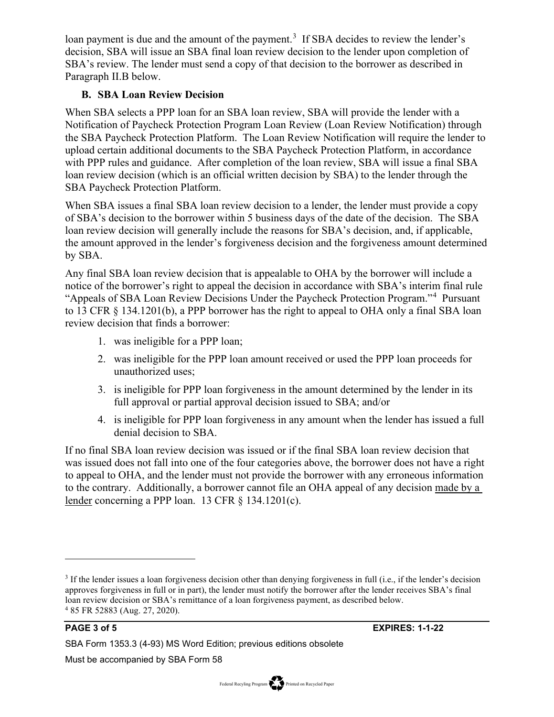loan payment is due and the amount of the payment.<sup>3</sup> If SBA decides to review the lender's decision, SBA will issue an SBA final loan review decision to the lender upon completion of SBA's review. The lender must send a copy of that decision to the borrower as described in Paragraph II.B below.

#### **B. SBA Loan Review Decision**

When SBA selects a PPP loan for an SBA loan review, SBA will provide the lender with a Notification of Paycheck Protection Program Loan Review (Loan Review Notification) through the SBA Paycheck Protection Platform. The Loan Review Notification will require the lender to upload certain additional documents to the SBA Paycheck Protection Platform, in accordance with PPP rules and guidance. After completion of the loan review, SBA will issue a final SBA loan review decision (which is an official written decision by SBA) to the lender through the SBA Paycheck Protection Platform.

When SBA issues a final SBA loan review decision to a lender, the lender must provide a copy of SBA's decision to the borrower within 5 business days of the date of the decision. The SBA loan review decision will generally include the reasons for SBA's decision, and, if applicable, the amount approved in the lender's forgiveness decision and the forgiveness amount determined by SBA.

Any final SBA loan review decision that is appealable to OHA by the borrower will include a notice of the borrower's right to appeal the decision in accordance with SBA's interim final rule "Appeals of SBA Loan Review Decisions Under the Paycheck Protection Program."<sup>4</sup> Pursuant to 13 CFR § 134.1201(b), a PPP borrower has the right to appeal to OHA only a final SBA loan review decision that finds a borrower:

- 1. was ineligible for a PPP loan;
- 2. was ineligible for the PPP loan amount received or used the PPP loan proceeds for unauthorized uses;
- 3. is ineligible for PPP loan forgiveness in the amount determined by the lender in its full approval or partial approval decision issued to SBA; and/or
- 4. is ineligible for PPP loan forgiveness in any amount when the lender has issued a full denial decision to SBA.

If no final SBA loan review decision was issued or if the final SBA loan review decision that was issued does not fall into one of the four categories above, the borrower does not have a right to appeal to OHA, and the lender must not provide the borrower with any erroneous information to the contrary. Additionally, a borrower cannot file an OHA appeal of any decision made by a lender concerning a PPP loan. 13 CFR § 134.1201(c).

<sup>3</sup> If the lender issues a loan forgiveness decision other than denying forgiveness in full (i.e., if the lender's decision approves forgiveness in full or in part), the lender must notify the borrower after the lender receives SBA's final loan review decision or SBA's remittance of a loan forgiveness payment, as described below. <sup>4</sup> 85 FR 52883 (Aug. 27, 2020).

SBA Form 1353.3 (4-93) MS Word Edition; previous editions obsolete

Must be accompanied by SBA Form 58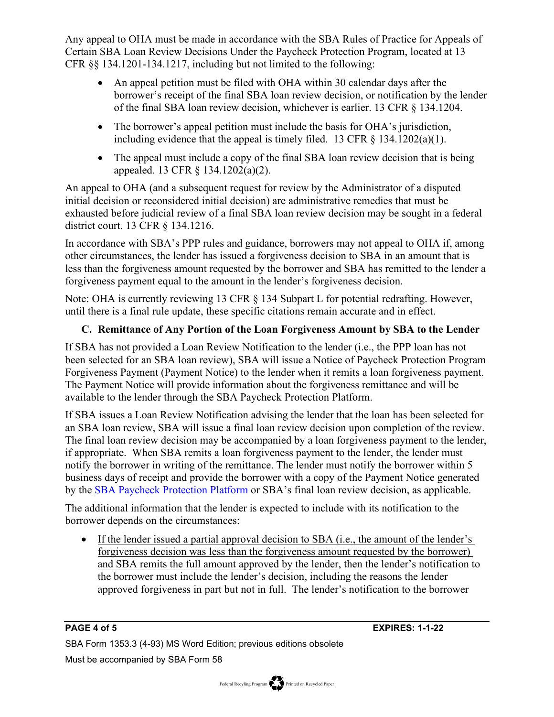Any appeal to OHA must be made in accordance with the SBA Rules of Practice for Appeals of Certain SBA Loan Review Decisions Under the Paycheck Protection Program, located at 13 CFR §§ 134.1201-134.1217, including but not limited to the following:

- An appeal petition must be filed with OHA within 30 calendar days after the borrower's receipt of the final SBA loan review decision, or notification by the lender of the final SBA loan review decision, whichever is earlier. 13 CFR § 134.1204.
- The borrower's appeal petition must include the basis for OHA's jurisdiction, including evidence that the appeal is timely filed. 13 CFR  $\S$  134.1202(a)(1).
- The appeal must include a copy of the final SBA loan review decision that is being appealed. 13 CFR § 134.1202(a)(2).

An appeal to OHA (and a subsequent request for review by the Administrator of a disputed initial decision or reconsidered initial decision) are administrative remedies that must be exhausted before judicial review of a final SBA loan review decision may be sought in a federal district court. 13 CFR § 134.1216.

In accordance with SBA's PPP rules and guidance, borrowers may not appeal to OHA if, among other circumstances, the lender has issued a forgiveness decision to SBA in an amount that is less than the forgiveness amount requested by the borrower and SBA has remitted to the lender a forgiveness payment equal to the amount in the lender's forgiveness decision.

Note: OHA is currently reviewing 13 CFR § 134 Subpart L for potential redrafting. However, until there is a final rule update, these specific citations remain accurate and in effect.

# **C. Remittance of Any Portion of the Loan Forgiveness Amount by SBA to the Lender**

If SBA has not provided a Loan Review Notification to the lender (i.e., the PPP loan has not been selected for an SBA loan review), SBA will issue a Notice of Paycheck Protection Program Forgiveness Payment (Payment Notice) to the lender when it remits a loan forgiveness payment. The Payment Notice will provide information about the forgiveness remittance and will be available to the lender through the SBA Paycheck Protection Platform.

If SBA issues a Loan Review Notification advising the lender that the loan has been selected for an SBA loan review, SBA will issue a final loan review decision upon completion of the review. The final loan review decision may be accompanied by a loan forgiveness payment to the lender, if appropriate. When SBA remits a loan forgiveness payment to the lender, the lender must notify the borrower in writing of the remittance. The lender must notify the borrower within 5 business days of receipt and provide the borrower with a copy of the Payment Notice generated by the SBA Paycheck Protection Platform or SBA's final loan review decision, as applicable.

The additional information that the lender is expected to include with its notification to the borrower depends on the circumstances:

• If the lender issued a partial approval decision to SBA (i.e., the amount of the lender's forgiveness decision was less than the forgiveness amount requested by the borrower) and SBA remits the full amount approved by the lender, then the lender's notification to the borrower must include the lender's decision, including the reasons the lender approved forgiveness in part but not in full. The lender's notification to the borrower

SBA Form 1353.3 (4-93) MS Word Edition; previous editions obsolete Must be accompanied by SBA Form 58